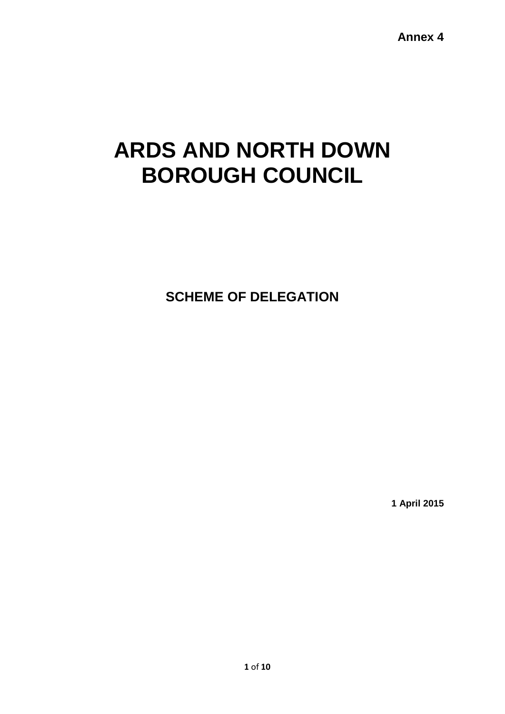**Annex 4**

# **ARDS AND NORTH DOWN BOROUGH COUNCIL**

**SCHEME OF DELEGATION**

**1 April 2015**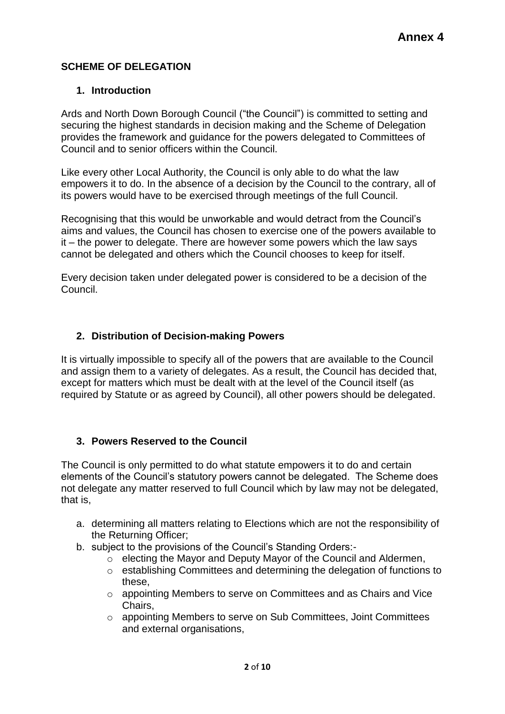## **SCHEME OF DELEGATION**

#### **1. Introduction**

Ards and North Down Borough Council ("the Council") is committed to setting and securing the highest standards in decision making and the Scheme of Delegation provides the framework and guidance for the powers delegated to Committees of Council and to senior officers within the Council.

Like every other Local Authority, the Council is only able to do what the law empowers it to do. In the absence of a decision by the Council to the contrary, all of its powers would have to be exercised through meetings of the full Council.

Recognising that this would be unworkable and would detract from the Council's aims and values, the Council has chosen to exercise one of the powers available to it – the power to delegate. There are however some powers which the law says cannot be delegated and others which the Council chooses to keep for itself.

Every decision taken under delegated power is considered to be a decision of the Council.

#### **2. Distribution of Decision-making Powers**

It is virtually impossible to specify all of the powers that are available to the Council and assign them to a variety of delegates. As a result, the Council has decided that, except for matters which must be dealt with at the level of the Council itself (as required by Statute or as agreed by Council), all other powers should be delegated.

### **3. Powers Reserved to the Council**

The Council is only permitted to do what statute empowers it to do and certain elements of the Council's statutory powers cannot be delegated. The Scheme does not delegate any matter reserved to full Council which by law may not be delegated, that is,

- a. determining all matters relating to Elections which are not the responsibility of the Returning Officer;
- b. subject to the provisions of the Council's Standing Orders:
	- o electing the Mayor and Deputy Mayor of the Council and Aldermen,
	- o establishing Committees and determining the delegation of functions to these,
	- o appointing Members to serve on Committees and as Chairs and Vice Chairs,
	- o appointing Members to serve on Sub Committees, Joint Committees and external organisations,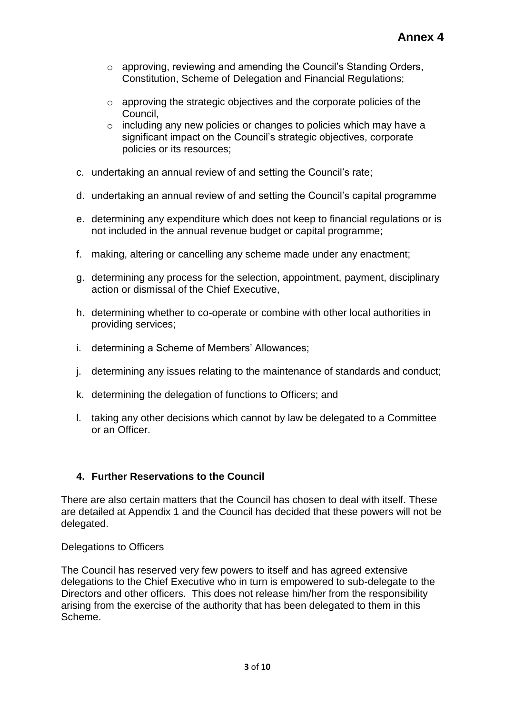- $\circ$  approving, reviewing and amending the Council's Standing Orders, Constitution, Scheme of Delegation and Financial Regulations;
- o approving the strategic objectives and the corporate policies of the Council,
- o including any new policies or changes to policies which may have a significant impact on the Council's strategic objectives, corporate policies or its resources;
- c. undertaking an annual review of and setting the Council's rate;
- d. undertaking an annual review of and setting the Council's capital programme
- e. determining any expenditure which does not keep to financial regulations or is not included in the annual revenue budget or capital programme;
- f. making, altering or cancelling any scheme made under any enactment;
- g. determining any process for the selection, appointment, payment, disciplinary action or dismissal of the Chief Executive,
- h. determining whether to co-operate or combine with other local authorities in providing services;
- i. determining a Scheme of Members' Allowances;
- j. determining any issues relating to the maintenance of standards and conduct;
- k. determining the delegation of functions to Officers; and
- l. taking any other decisions which cannot by law be delegated to a Committee or an Officer.

#### **4. Further Reservations to the Council**

There are also certain matters that the Council has chosen to deal with itself. These are detailed at Appendix 1 and the Council has decided that these powers will not be delegated.

Delegations to Officers

The Council has reserved very few powers to itself and has agreed extensive delegations to the Chief Executive who in turn is empowered to sub-delegate to the Directors and other officers. This does not release him/her from the responsibility arising from the exercise of the authority that has been delegated to them in this Scheme.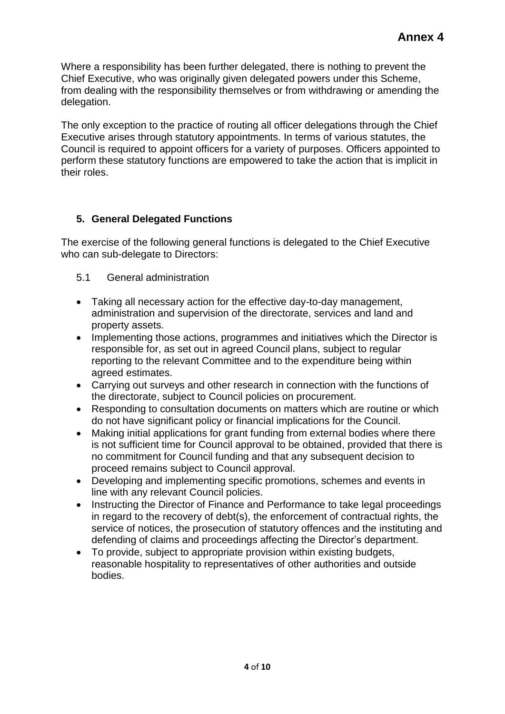Where a responsibility has been further delegated, there is nothing to prevent the Chief Executive, who was originally given delegated powers under this Scheme, from dealing with the responsibility themselves or from withdrawing or amending the delegation.

The only exception to the practice of routing all officer delegations through the Chief Executive arises through statutory appointments. In terms of various statutes, the Council is required to appoint officers for a variety of purposes. Officers appointed to perform these statutory functions are empowered to take the action that is implicit in their roles.

## **5. General Delegated Functions**

The exercise of the following general functions is delegated to the Chief Executive who can sub-delegate to Directors:

- 5.1 General administration
- Taking all necessary action for the effective day-to-day management, administration and supervision of the directorate, services and land and property assets.
- Implementing those actions, programmes and initiatives which the Director is responsible for, as set out in agreed Council plans, subject to regular reporting to the relevant Committee and to the expenditure being within agreed estimates.
- Carrying out surveys and other research in connection with the functions of the directorate, subject to Council policies on procurement.
- Responding to consultation documents on matters which are routine or which do not have significant policy or financial implications for the Council.
- Making initial applications for grant funding from external bodies where there is not sufficient time for Council approval to be obtained, provided that there is no commitment for Council funding and that any subsequent decision to proceed remains subject to Council approval.
- Developing and implementing specific promotions, schemes and events in line with any relevant Council policies.
- Instructing the Director of Finance and Performance to take legal proceedings in regard to the recovery of debt(s), the enforcement of contractual rights, the service of notices, the prosecution of statutory offences and the instituting and defending of claims and proceedings affecting the Director's department.
- To provide, subject to appropriate provision within existing budgets, reasonable hospitality to representatives of other authorities and outside bodies.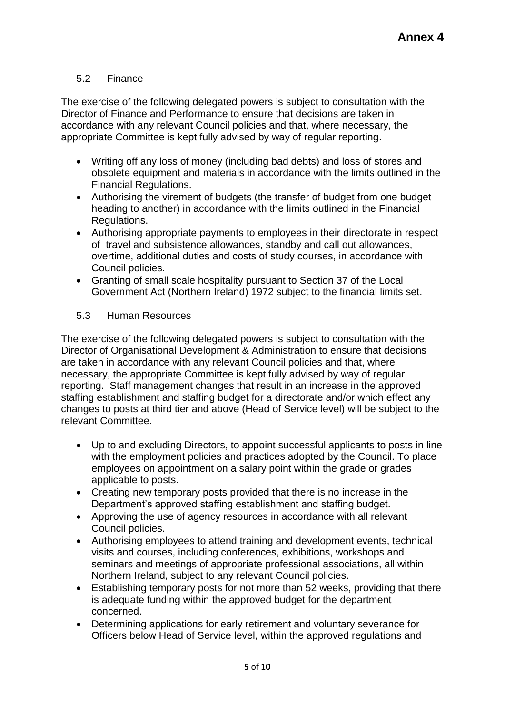## 5.2 Finance

The exercise of the following delegated powers is subject to consultation with the Director of Finance and Performance to ensure that decisions are taken in accordance with any relevant Council policies and that, where necessary, the appropriate Committee is kept fully advised by way of regular reporting.

- Writing off any loss of money (including bad debts) and loss of stores and obsolete equipment and materials in accordance with the limits outlined in the Financial Regulations.
- Authorising the virement of budgets (the transfer of budget from one budget heading to another) in accordance with the limits outlined in the Financial Regulations.
- Authorising appropriate payments to employees in their directorate in respect of travel and subsistence allowances, standby and call out allowances, overtime, additional duties and costs of study courses, in accordance with Council policies.
- Granting of small scale hospitality pursuant to Section 37 of the Local Government Act (Northern Ireland) 1972 subject to the financial limits set.
- 5.3 Human Resources

The exercise of the following delegated powers is subject to consultation with the Director of Organisational Development & Administration to ensure that decisions are taken in accordance with any relevant Council policies and that, where necessary, the appropriate Committee is kept fully advised by way of regular reporting. Staff management changes that result in an increase in the approved staffing establishment and staffing budget for a directorate and/or which effect any changes to posts at third tier and above (Head of Service level) will be subject to the relevant Committee.

- Up to and excluding Directors, to appoint successful applicants to posts in line with the employment policies and practices adopted by the Council. To place employees on appointment on a salary point within the grade or grades applicable to posts.
- Creating new temporary posts provided that there is no increase in the Department's approved staffing establishment and staffing budget.
- Approving the use of agency resources in accordance with all relevant Council policies.
- Authorising employees to attend training and development events, technical visits and courses, including conferences, exhibitions, workshops and seminars and meetings of appropriate professional associations, all within Northern Ireland, subject to any relevant Council policies.
- Establishing temporary posts for not more than 52 weeks, providing that there is adequate funding within the approved budget for the department concerned.
- Determining applications for early retirement and voluntary severance for Officers below Head of Service level, within the approved regulations and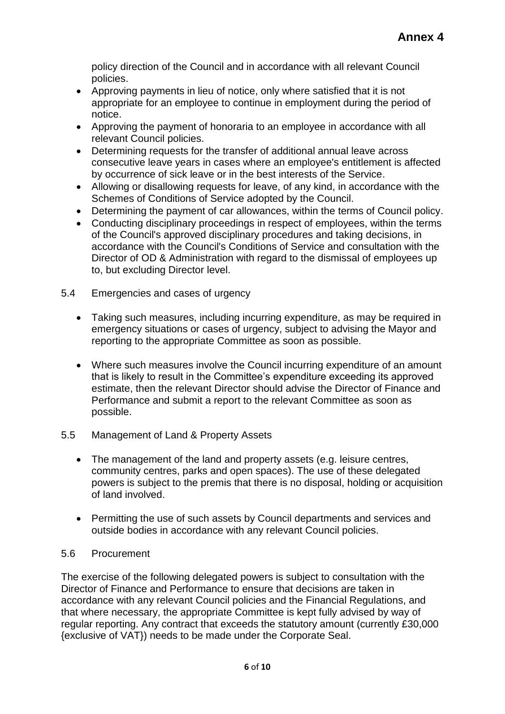policy direction of the Council and in accordance with all relevant Council policies.

- Approving payments in lieu of notice, only where satisfied that it is not appropriate for an employee to continue in employment during the period of notice.
- Approving the payment of honoraria to an employee in accordance with all relevant Council policies.
- Determining requests for the transfer of additional annual leave across consecutive leave years in cases where an employee's entitlement is affected by occurrence of sick leave or in the best interests of the Service.
- Allowing or disallowing requests for leave, of any kind, in accordance with the Schemes of Conditions of Service adopted by the Council.
- Determining the payment of car allowances, within the terms of Council policy.
- Conducting disciplinary proceedings in respect of employees, within the terms of the Council's approved disciplinary procedures and taking decisions, in accordance with the Council's Conditions of Service and consultation with the Director of OD & Administration with regard to the dismissal of employees up to, but excluding Director level.
- 5.4 Emergencies and cases of urgency
	- Taking such measures, including incurring expenditure, as may be required in emergency situations or cases of urgency, subject to advising the Mayor and reporting to the appropriate Committee as soon as possible.
	- Where such measures involve the Council incurring expenditure of an amount that is likely to result in the Committee's expenditure exceeding its approved estimate, then the relevant Director should advise the Director of Finance and Performance and submit a report to the relevant Committee as soon as possible.
- 5.5 Management of Land & Property Assets
	- The management of the land and property assets (e.g. leisure centres, community centres, parks and open spaces). The use of these delegated powers is subject to the premis that there is no disposal, holding or acquisition of land involved.
	- Permitting the use of such assets by Council departments and services and outside bodies in accordance with any relevant Council policies.

#### 5.6 Procurement

The exercise of the following delegated powers is subject to consultation with the Director of Finance and Performance to ensure that decisions are taken in accordance with any relevant Council policies and the Financial Regulations, and that where necessary, the appropriate Committee is kept fully advised by way of regular reporting. Any contract that exceeds the statutory amount (currently £30,000 {exclusive of VAT}) needs to be made under the Corporate Seal.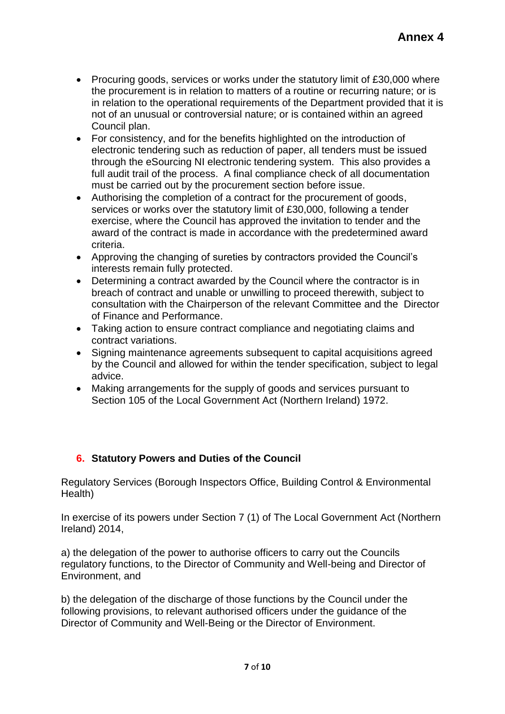- Procuring goods, services or works under the statutory limit of £30,000 where the procurement is in relation to matters of a routine or recurring nature; or is in relation to the operational requirements of the Department provided that it is not of an unusual or controversial nature; or is contained within an agreed Council plan.
- For consistency, and for the benefits highlighted on the introduction of electronic tendering such as reduction of paper, all tenders must be issued through the eSourcing NI electronic tendering system. This also provides a full audit trail of the process. A final compliance check of all documentation must be carried out by the procurement section before issue.
- Authorising the completion of a contract for the procurement of goods, services or works over the statutory limit of £30,000, following a tender exercise, where the Council has approved the invitation to tender and the award of the contract is made in accordance with the predetermined award criteria.
- Approving the changing of sureties by contractors provided the Council's interests remain fully protected.
- Determining a contract awarded by the Council where the contractor is in breach of contract and unable or unwilling to proceed therewith, subject to consultation with the Chairperson of the relevant Committee and the Director of Finance and Performance.
- Taking action to ensure contract compliance and negotiating claims and contract variations.
- Signing maintenance agreements subsequent to capital acquisitions agreed by the Council and allowed for within the tender specification, subject to legal advice.
- Making arrangements for the supply of goods and services pursuant to Section 105 of the Local Government Act (Northern Ireland) 1972.

# **6. Statutory Powers and Duties of the Council**

Regulatory Services (Borough Inspectors Office, Building Control & Environmental Health)

In exercise of its powers under Section 7 (1) of The Local Government Act (Northern Ireland) 2014,

a) the delegation of the power to authorise officers to carry out the Councils regulatory functions, to the Director of Community and Well-being and Director of Environment, and

b) the delegation of the discharge of those functions by the Council under the following provisions, to relevant authorised officers under the guidance of the Director of Community and Well-Being or the Director of Environment.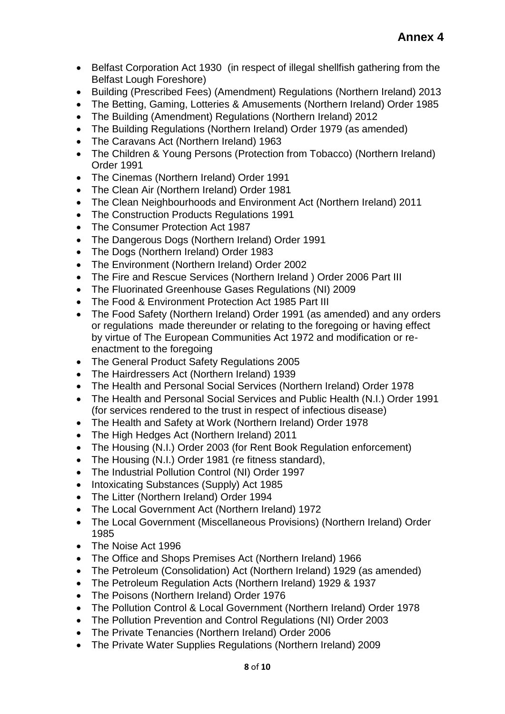- Belfast Corporation Act 1930 (in respect of illegal shellfish gathering from the Belfast Lough Foreshore)
- Building (Prescribed Fees) (Amendment) Regulations (Northern Ireland) 2013
- The Betting, Gaming, Lotteries & Amusements (Northern Ireland) Order 1985
- The Building (Amendment) Regulations (Northern Ireland) 2012
- The Building Regulations (Northern Ireland) Order 1979 (as amended)
- The Caravans Act (Northern Ireland) 1963
- The Children & Young Persons (Protection from Tobacco) (Northern Ireland) Order 1991
- The Cinemas (Northern Ireland) Order 1991
- The Clean Air (Northern Ireland) Order 1981
- The Clean Neighbourhoods and Environment Act (Northern Ireland) 2011
- The Construction Products Regulations 1991
- The Consumer Protection Act 1987
- The Dangerous Dogs (Northern Ireland) Order 1991
- The Dogs (Northern Ireland) Order 1983
- The Environment (Northern Ireland) Order 2002
- The Fire and Rescue Services (Northern Ireland) Order 2006 Part III
- The Fluorinated Greenhouse Gases Regulations (NI) 2009
- The Food & Environment Protection Act 1985 Part III
- The Food Safety (Northern Ireland) Order 1991 (as amended) and any orders or regulations made thereunder or relating to the foregoing or having effect by virtue of The European Communities Act 1972 and modification or reenactment to the foregoing
- The General Product Safety Regulations 2005
- The Hairdressers Act (Northern Ireland) 1939
- The Health and Personal Social Services (Northern Ireland) Order 1978
- The Health and Personal Social Services and Public Health (N.I.) Order 1991 (for services rendered to the trust in respect of infectious disease)
- The Health and Safety at Work (Northern Ireland) Order 1978
- The High Hedges Act (Northern Ireland) 2011
- The Housing (N.I.) Order 2003 (for Rent Book Regulation enforcement)
- The Housing (N.I.) Order 1981 (re fitness standard),
- The Industrial Pollution Control (NI) Order 1997
- Intoxicating Substances (Supply) Act 1985
- The Litter (Northern Ireland) Order 1994
- The Local Government Act (Northern Ireland) 1972
- The Local Government (Miscellaneous Provisions) (Northern Ireland) Order 1985
- The Noise Act 1996
- The Office and Shops Premises Act (Northern Ireland) 1966
- The Petroleum (Consolidation) Act (Northern Ireland) 1929 (as amended)
- The Petroleum Regulation Acts (Northern Ireland) 1929 & 1937
- The Poisons (Northern Ireland) Order 1976
- The Pollution Control & Local Government (Northern Ireland) Order 1978
- The Pollution Prevention and Control Regulations (NI) Order 2003
- The Private Tenancies (Northern Ireland) Order 2006
- The Private Water Supplies Regulations (Northern Ireland) 2009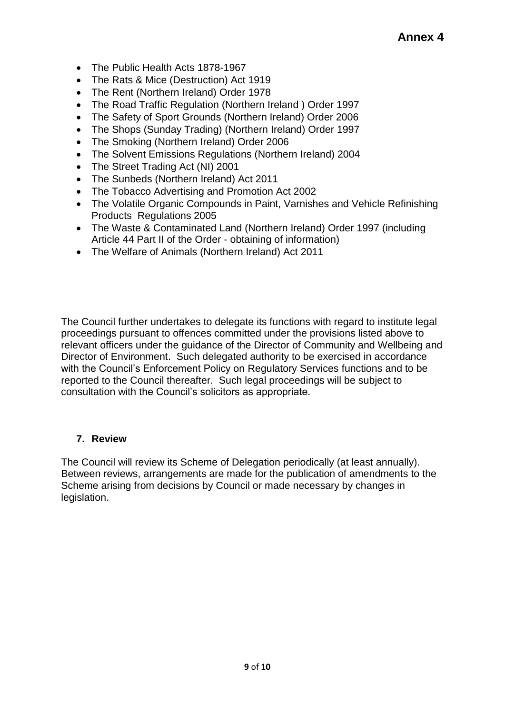- The Public Health Acts 1878-1967
- The Rats & Mice (Destruction) Act 1919
- The Rent (Northern Ireland) Order 1978
- The Road Traffic Regulation (Northern Ireland ) Order 1997
- The Safety of Sport Grounds (Northern Ireland) Order 2006
- The Shops (Sunday Trading) (Northern Ireland) Order 1997
- The Smoking (Northern Ireland) Order 2006
- The Solvent Emissions Regulations (Northern Ireland) 2004
- The Street Trading Act (NI) 2001
- The Sunbeds (Northern Ireland) Act 2011
- The Tobacco Advertising and Promotion Act 2002
- The Volatile Organic Compounds in Paint, Varnishes and Vehicle Refinishing Products Regulations 2005
- The Waste & Contaminated Land (Northern Ireland) Order 1997 (including Article 44 Part II of the Order - obtaining of information)
- The Welfare of Animals (Northern Ireland) Act 2011

The Council further undertakes to delegate its functions with regard to institute legal proceedings pursuant to offences committed under the provisions listed above to relevant officers under the guidance of the Director of Community and Wellbeing and Director of Environment. Such delegated authority to be exercised in accordance with the Council's Enforcement Policy on Regulatory Services functions and to be reported to the Council thereafter. Such legal proceedings will be subject to consultation with the Council's solicitors as appropriate.

#### **7. Review**

The Council will review its Scheme of Delegation periodically (at least annually). Between reviews, arrangements are made for the publication of amendments to the Scheme arising from decisions by Council or made necessary by changes in legislation.